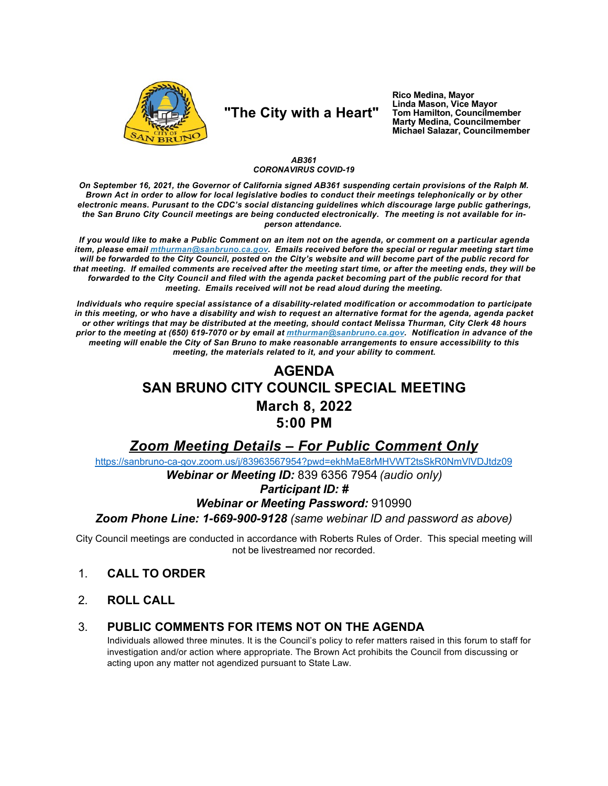

# "The City with a Heart"

Rico Medina, Mayor Linda Mason, Vice Mayor Tom Hamilton, Councilmember **Marty Medina, Councilmember** Michael Salazar, Councilmember

#### AB361 **CORONAVIRUS COVID-19**

On September 16, 2021, the Governor of California signed AB361 suspending certain provisions of the Ralph M. Brown Act in order to allow for local legislative bodies to conduct their meetings telephonically or by other electronic means. Purusant to the CDC's social distancing guidelines which discourage large public gatherings, the San Bruno City Council meetings are being conducted electronically. The meeting is not available for inperson attendance.

If you would like to make a Public Comment on an item not on the agenda, or comment on a particular agenda item, please email *mthurman@sanbruno.ca.gov.* Emails received before the special or regular meeting start time will be forwarded to the City Council, posted on the City's website and will become part of the public record for that meeting. If emailed comments are received after the meeting start time, or after the meeting ends, they will be forwarded to the City Council and filed with the agenda packet becoming part of the public record for that meeting. Emails received will not be read aloud during the meeting.

Individuals who require special assistance of a disability-related modification or accommodation to participate in this meeting, or who have a disability and wish to request an alternative format for the agenda, agenda packet or other writings that may be distributed at the meeting, should contact Melissa Thurman, City Clerk 48 hours prior to the meeting at (650) 619-7070 or by email at mthurman@sanbruno.ca.gov. Notification in advance of the meeting will enable the City of San Bruno to make reasonable arrangements to ensure accessibility to this meeting, the materials related to it, and your ability to comment.

# **AGENDA SAN BRUNO CITY COUNCIL SPECIAL MEETING March 8, 2022**  $5:00$  PM

## **Zoom Meeting Details - For Public Comment Only**

https://sanbruno-ca-gov.zoom.us/j/83963567954?pwd=ekhMaE8rMHVWT2tsSkR0NmVIVDJtdz09

Webinar or Meeting ID: 839 6356 7954 (audio only)

### **Participant ID: #**

### **Webinar or Meeting Password: 910990**

Zoom Phone Line: 1-669-900-9128 (same webinar ID and password as above)

City Council meetings are conducted in accordance with Roberts Rules of Order. This special meeting will not be livestreamed nor recorded.

- $1<sub>1</sub>$ **CALL TO ORDER**
- $2<sub>1</sub>$ **ROLL CALL**

#### $3_{-}$ PUBLIC COMMENTS FOR ITEMS NOT ON THE AGENDA

Individuals allowed three minutes. It is the Council's policy to refer matters raised in this forum to staff for investigation and/or action where appropriate. The Brown Act prohibits the Council from discussing or acting upon any matter not agendized pursuant to State Law.